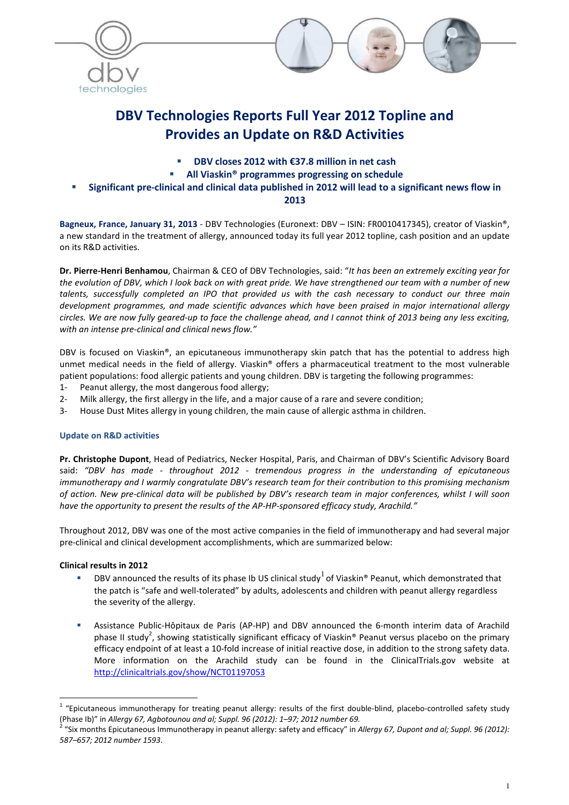



# **DBV Technologies Reports Full Year 2012 Topline and Provides an Update on R&D Activities**

- **DBV closes 2012 with €37.8 million in net cash**
- **All Viaskin® programmes progressing on schedule**
- **Significant pre-clinical and clinical data published in 2012 will lead to a significant news flow in 2013**

**Bagneux, France, January 31, 2013** - DBV Technologies (Euronext: DBV – ISIN: FR0010417345), creator of Viaskin®, a new standard in the treatment of allergy, announced today its full year 2012 topline, cash position and an update on its R&D activities.

**Dr. Pierre-Henri Benhamou**, Chairman & CEO of DBV Technologies, said: "*It has been an extremely exciting year for the evolution of DBV, which I look back on with great pride. We have strengthened our team with a number of new talents, successfully completed an IPO that provided us with the cash necessary to conduct our three main development programmes, and made scientific advances which have been praised in major international allergy circles. We are now fully geared-up to face the challenge ahead, and I cannot think of 2013 being any less exciting, with an intense pre-clinical and clinical news flow."* 

DBV is focused on Viaskin®, an epicutaneous immunotherapy skin patch that has the potential to address high unmet medical needs in the field of allergy. Viaskin® offers a pharmaceutical treatment to the most vulnerable patient populations: food allergic patients and young children. DBV is targeting the following programmes:

- 1- Peanut allergy, the most dangerous food allergy;
- 2- Milk allergy, the first allergy in the life, and a major cause of a rare and severe condition;
- 3- House Dust Mites allergy in young children, the main cause of allergic asthma in children.

## **Update on R&D activities**

**Pr. Christophe Dupont**, Head of Pediatrics, Necker Hospital, Paris, and Chairman of DBV's Scientific Advisory Board said: *"DBV has made - throughout 2012 - tremendous progress in the understanding of epicutaneous immunotherapy and I warmly congratulate DBV's research team for their contribution to this promising mechanism of action. New pre-clinical data will be published by DBV's research team in major conferences, whilst I will soon have the opportunity to present the results of the AP-HP-sponsored efficacy study, Arachild."*

Throughout 2012, DBV was one of the most active companies in the field of immunotherapy and had several major pre-clinical and clinical development accomplishments, which are summarized below:

## **Clinical results in 2012**

- **DBV** announced the results of its phase Ib US clinical study  $1$  of Viaskin® Peanut, which demonstrated that the patch is "safe and well-tolerated" by adults, adolescents and children with peanut allergy regardless the severity of the allergy.
- Assistance Public-Hôpitaux de Paris (AP-HP) and DBV announced the 6-month interim data of Arachild phase II study<sup>2</sup>, showing statistically significant efficacy of Viaskin® Peanut versus placebo on the primary efficacy endpoint of at least a 10-fold increase of initial reactive dose, in addition to the strong safety data. More information on the Arachild study can be found in the ClinicalTrials.gov website at http://clinicaltrials.gov/show/NCT01197053

 $\overline{a}$  $1$  "Epicutaneous immunotherapy for treating peanut allergy: results of the first double-blind, placebo-controlled safety study (Phase Ib)" in *Allergy 67, Agbotounou and al; Suppl. 96 (2012): 1–97; 2012 number 69.*

<sup>&</sup>lt;sup>2</sup> "Six months Epicutaneous Immunotherapy in peanut allergy: safety and efficacy" in Allergy 67, Dupont and al; Suppl. 96 (2012): *587–657; 2012 number 1593*.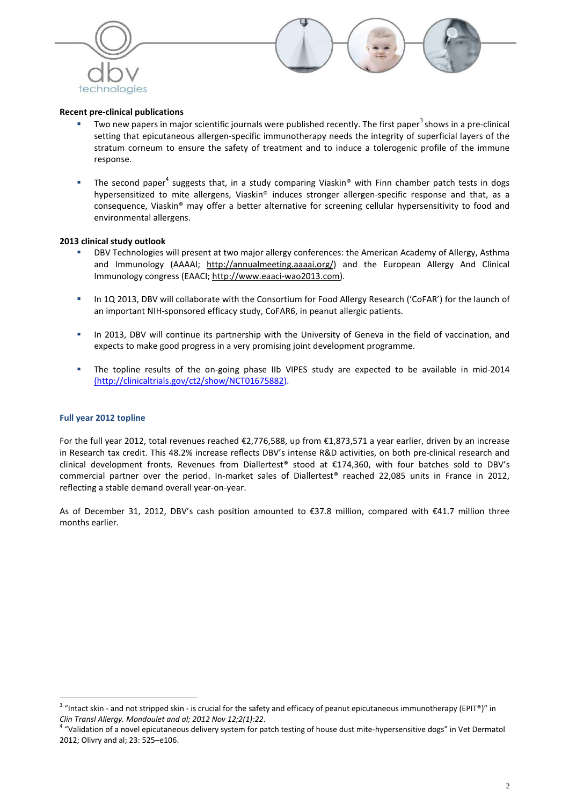



#### **Recent pre-clinical publications**

- $\blacksquare$  Two new papers in major scientific journals were published recently. The first paper<sup>3</sup> shows in a pre-clinical setting that epicutaneous allergen-specific immunotherapy needs the integrity of superficial layers of the stratum corneum to ensure the safety of treatment and to induce a tolerogenic profile of the immune response.
- The second paper<sup>4</sup> suggests that, in a study comparing Viaskin® with Finn chamber patch tests in dogs hypersensitized to mite allergens, Viaskin® induces stronger allergen-specific response and that, as a consequence, Viaskin® may offer a better alternative for screening cellular hypersensitivity to food and environmental allergens.

#### **2013 clinical study outlook**

- DBV Technologies will present at two major allergy conferences: the American Academy of Allergy, Asthma and Immunology (AAAAI; http://annualmeeting.aaaai.org/) and the European Allergy And Clinical Immunology congress (EAACI; http://www.eaaci-wao2013.com).
- In 1Q 2013, DBV will collaborate with the Consortium for Food Allergy Research ('CoFAR') for the launch of an important NIH-sponsored efficacy study, CoFAR6, in peanut allergic patients.
- In 2013, DBV will continue its partnership with the University of Geneva in the field of vaccination, and expects to make good progress in a very promising joint development programme.
- The topline results of the on-going phase IIb VIPES study are expected to be available in mid-2014 (http://clinicaltrials.gov/ct2/show/NCT01675882).

#### **Full year 2012 topline**

For the full year 2012, total revenues reached €2,776,588, up from €1,873,571 a year earlier, driven by an increase in Research tax credit. This 48.2% increase reflects DBV's intense R&D activities, on both pre-clinical research and clinical development fronts. Revenues from Diallertest® stood at €174,360, with four batches sold to DBV's commercial partner over the period. In-market sales of Diallertest® reached 22,085 units in France in 2012, reflecting a stable demand overall year-on-year.

As of December 31, 2012, DBV's cash position amounted to €37.8 million, compared with €41.7 million three months earlier.

and the state of the same of the safety and efficacy of peanut epicutaneous immunotherapy (EPIT®)" in all that it and not stripped skin - is crucial for the safety and efficacy of peanut epicutaneous immunotherapy (EPIT®)" *Clin Transl Allergy. Mondoulet and al; 2012 Nov 12;2(1):22*.

<sup>&</sup>lt;sup>4</sup> "Validation of a novel epicutaneous delivery system for patch testing of house dust mite-hypersensitive dogs" in Vet Dermatol 2012; Olivry and al; 23: 525–e106.